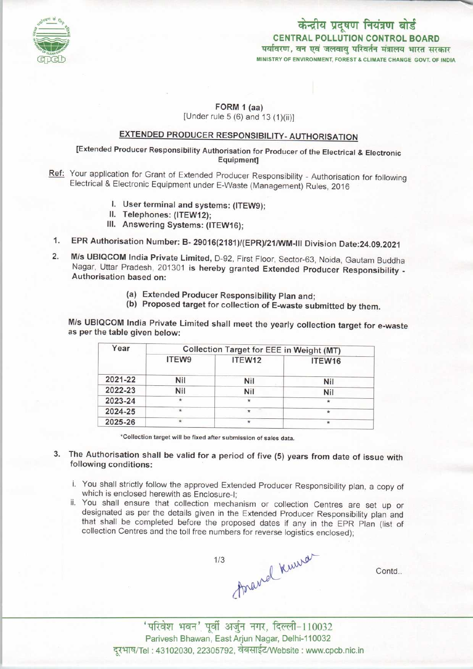

## केन्द्रीय प्रदूषण नियंत्रण बोर्ड CENTRAL POLLUTION CONTROL BOARDपर्यावरण, वन एवं जलवाय परिवर्तन मंत्रालय भारत सरकार MINISTRY OF ENVIRONMENT, FOREST & CLIMATE CHANGE GOVT. OF INDIA

#### FORM 1 (aa) [Under rule 5 (6) and 13 (1)(ii)]

# EXTENDED PRODUCER RESPONSIBILITY-AUTHORISATION

### [Extended Producer Responsibility Authorisation for Producer of the Electrical & Electronic Equipment]

- Ref: Your application for Grant of Extended Producer Responsibility Authorisation for following Electrical & Electronic Equipment under E-Waste (Management) Rules, 2016
	- I. User terminal and systems: (ITEW9);
	- II. Telephones: (ITEW12);
	- III. Answering Systems: (ITEW16);
- 1.EPR Authorisation Number: B- 29016(2181)/(EPR)/21/WM-lll Division Date:24.09.2021
- 1. EPR Authorisation Number: B- 29016(2181)/(EPR)/21/WM-III Division Date:24.09.2021<br>2. M/s UBIQCOM India Private Limited, D-92, First Floor, Sector-63, Noida, Gautam Buddha M/s UBIQCOM India Private Limited, D-92, First Floor, Sector-63, Noida, Gautam Buddha<br>Nagar, Uttar Pradesh, 201301 is hereby granted Extended Producer Responsibility -Authorisation based on:
	- (a)Extended Producer Responsibility Plan and;
	- (b) Proposed target for collection of E-waste submitted by them.

M/s UBIQCOM India Private Limited shall meet the yearly collection target for e-waste as per the table given below:

| Year    | Collection Target for EEE in Weight (MT) |        |         |
|---------|------------------------------------------|--------|---------|
|         | ITEW9                                    | ITEW12 | ITEW16  |
| 2021-22 | Nil                                      | Nil    | Nil     |
| 2022-23 | Nil                                      | Nil    | Nil     |
| 2023-24 | $\ast$                                   |        | $\star$ |
| 2024-25 | $\star$                                  | ÷      | $\star$ |
| 2025-26 |                                          |        | $\star$ |

'Collection target will be fixed aftersubmission of sales data.

- 3. The Authorisation shall be valid for a period of five (5) years from date of issue with following conditions:
	- i. You shall strictly follow the approved Extended Producer Responsibility plan, a copy of which is enclosed herewith as Enclosure-I;
	- ii. You shall ensure that collection mechanism or collection Centres are set up or designated as per the details given in the Extended Producer Responsibility plan and that shall be completed before the proposed dates if any in the EPR Plan (list of collection Centres and the toll free numbers for reverse logistics enclosed);



Contd..

Parivesh Bhawan, EastArjun Nagar, Delhi-110032 दूरभाष/Tel : 43102030, 22305792, वेबसाईट/Website : www.cpcb.nic.in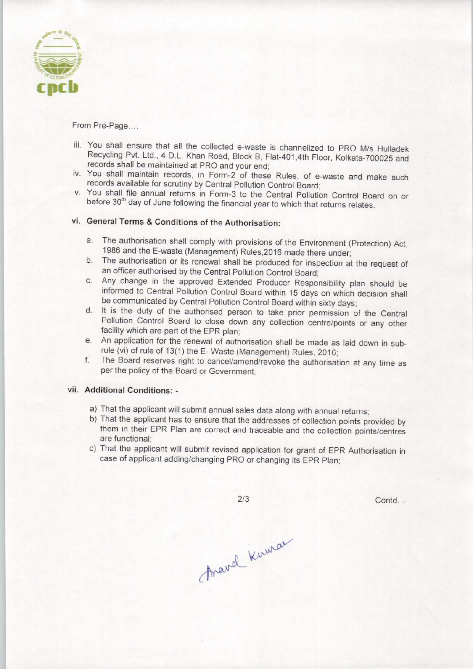

From Pre-Page....

- iii. You shall ensure that all the collected e-waste is channelized to PRO M/s Hulladek Recycling Pvt. Ltd., 4 D.L. Khan Road, Block B, Flat-401.4th Floor, Kolkata-700025 and records shall be maintained at PRO and your end;
- iv. You shall maintain records, in Form-2 of these Rules, of e-waste and make such records available for scrutiny by Central Pollution Control Board;
- v. You shall file annual returns in Form-3 to the Central Pollution Control Board on or before 30<sup>th</sup> day of June following the financial year to which that returns relates.

# vi. General Terms & Conditions of the Authorisation:

- a. The authorisation shall comply with provisions of the Environment (Protection) Act, 1986 and the E-waste (Management) Rules.2016 made there under;
- b. The authorisation or its renewal shall be produced for inspection at the request of an officer authorised by the Central Pollution Control Board;
- c.Any change in the approved Extended Producer Responsibility plan should be informed to Central Pollution Control Board within 15 days on which decision shall be communicated by Central Pollution Control Board within sixty days;
- d. It is the duty of the authorised person to take prior permission of the Central Pollution Control Board to close down any collection centre/points or any other facility which are part of the EPR plan;
- e. An application for the renewal of authorisation shall be made as laid down in subrule (vi) of rule of 13(1) the E-Waste (Management) Rules, 2016;
- f.The Board reserves right to cancel/amend/revoke the authorisation at any time as per the policy of the Board or Government.

#### vii. Additional Conditions: -

- a)That the applicant will submit annual sales data along with annual returns;
- b)That the applicant has to ensure that the addresses of collection points provided by them in their EPR Plan are correct and traceable and the collection points/centres are functional;
- c)That the applicant will submit revised application for grant of EPR Authorisation in case of applicant adding/changing PRO or changing its EPR Plan;

 $2/3$ 

Contd...

Aravel Kuman